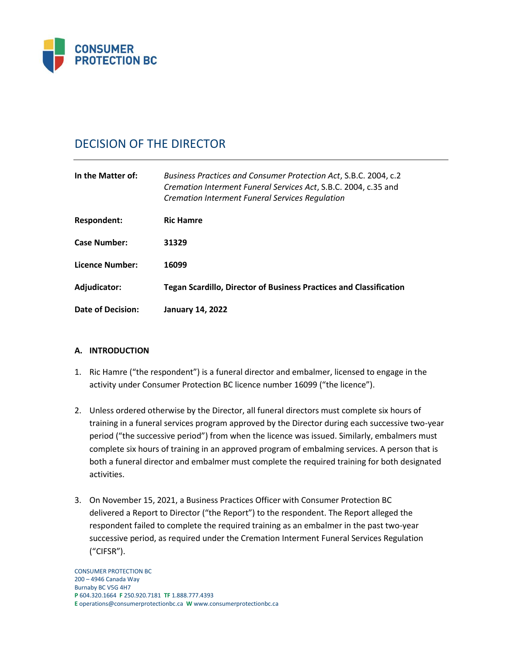

# DECISION OF THE DIRECTOR

| In the Matter of:      | Business Practices and Consumer Protection Act, S.B.C. 2004, c.2<br>Cremation Interment Funeral Services Act, S.B.C. 2004, c.35 and<br><b>Cremation Interment Funeral Services Requlation</b> |
|------------------------|-----------------------------------------------------------------------------------------------------------------------------------------------------------------------------------------------|
| Respondent:            | <b>Ric Hamre</b>                                                                                                                                                                              |
| <b>Case Number:</b>    | 31329                                                                                                                                                                                         |
| <b>Licence Number:</b> | 16099                                                                                                                                                                                         |
| Adjudicator:           | <b>Tegan Scardillo, Director of Business Practices and Classification</b>                                                                                                                     |
| Date of Decision:      | <b>January 14, 2022</b>                                                                                                                                                                       |

# **A. INTRODUCTION**

- 1. Ric Hamre ("the respondent") is a funeral director and embalmer, licensed to engage in the activity under Consumer Protection BC licence number 16099 ("the licence").
- 2. Unless ordered otherwise by the Director, all funeral directors must complete six hours of training in a funeral services program approved by the Director during each successive two-year period ("the successive period") from when the licence was issued. Similarly, embalmers must complete six hours of training in an approved program of embalming services. A person that is both a funeral director and embalmer must complete the required training for both designated activities.
- 3. On November 15, 2021, a Business Practices Officer with Consumer Protection BC delivered a Report to Director ("the Report") to the respondent. The Report alleged the respondent failed to complete the required training as an embalmer in the past two-year successive period, as required under the Cremation Interment Funeral Services Regulation ("CIFSR").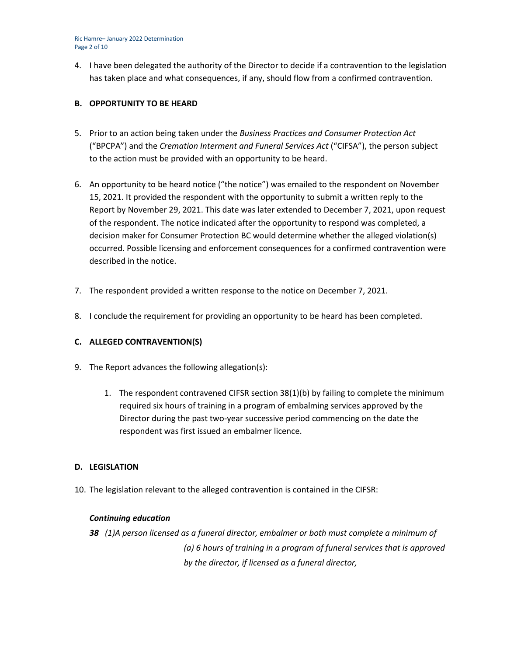Ric Hamre– January 2022 Determination Page 2 of 10

4. I have been delegated the authority of the Director to decide if a contravention to the legislation has taken place and what consequences, if any, should flow from a confirmed contravention.

## **B. OPPORTUNITY TO BE HEARD**

- 5. Prior to an action being taken under the *Business Practices and Consumer Protection Act*  ("BPCPA") and the *Cremation Interment and Funeral Services Act* ("CIFSA"), the person subject to the action must be provided with an opportunity to be heard.
- 6. An opportunity to be heard notice ("the notice") was emailed to the respondent on November 15, 2021. It provided the respondent with the opportunity to submit a written reply to the Report by November 29, 2021. This date was later extended to December 7, 2021, upon request of the respondent. The notice indicated after the opportunity to respond was completed, a decision maker for Consumer Protection BC would determine whether the alleged violation(s) occurred. Possible licensing and enforcement consequences for a confirmed contravention were described in the notice.
- 7. The respondent provided a written response to the notice on December 7, 2021.
- 8. I conclude the requirement for providing an opportunity to be heard has been completed.

# **C. ALLEGED CONTRAVENTION(S)**

- 9. The Report advances the following allegation(s):
	- 1. The respondent contravened CIFSR section 38(1)(b) by failing to complete the minimum required six hours of training in a program of embalming services approved by the Director during the past two-year successive period commencing on the date the respondent was first issued an embalmer licence.

#### **D. LEGISLATION**

10. The legislation relevant to the alleged contravention is contained in the CIFSR:

#### *Continuing education*

*38 (1)A person licensed as a funeral director, embalmer or both must complete a minimum of (a) 6 hours of training in a program of funeral services that is approved by the director, if licensed as a funeral director,*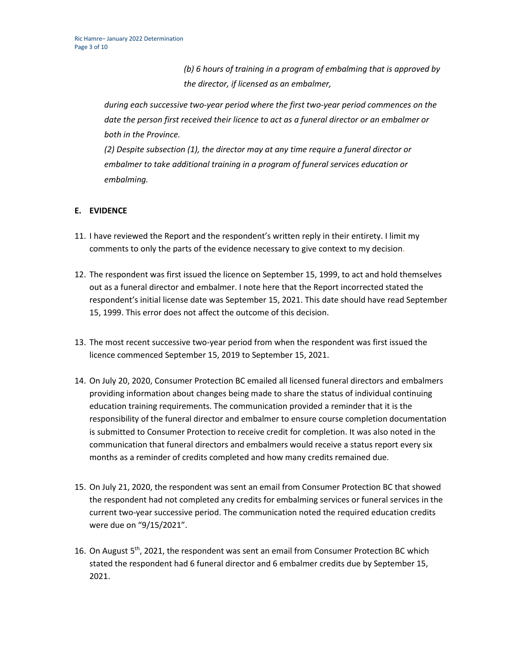*(b) 6 hours of training in a program of embalming that is approved by the director, if licensed as an embalmer,*

*during each successive two-year period where the first two-year period commences on the date the person first received their licence to act as a funeral director or an embalmer or both in the Province.*

*(2) Despite subsection (1), the director may at any time require a funeral director or embalmer to take additional training in a program of funeral services education or embalming.*

# **E. EVIDENCE**

- 11. I have reviewed the Report and the respondent's written reply in their entirety. I limit my comments to only the parts of the evidence necessary to give context to my decision.
- 12. The respondent was first issued the licence on September 15, 1999, to act and hold themselves out as a funeral director and embalmer. I note here that the Report incorrected stated the respondent's initial license date was September 15, 2021. This date should have read September 15, 1999. This error does not affect the outcome of this decision.
- 13. The most recent successive two-year period from when the respondent was first issued the licence commenced September 15, 2019 to September 15, 2021.
- 14. On July 20, 2020, Consumer Protection BC emailed all licensed funeral directors and embalmers providing information about changes being made to share the status of individual continuing education training requirements. The communication provided a reminder that it is the responsibility of the funeral director and embalmer to ensure course completion documentation is submitted to Consumer Protection to receive credit for completion. It was also noted in the communication that funeral directors and embalmers would receive a status report every six months as a reminder of credits completed and how many credits remained due.
- 15. On July 21, 2020, the respondent was sent an email from Consumer Protection BC that showed the respondent had not completed any credits for embalming services or funeral services in the current two-year successive period. The communication noted the required education credits were due on "9/15/2021".
- 16. On August  $5<sup>th</sup>$ , 2021, the respondent was sent an email from Consumer Protection BC which stated the respondent had 6 funeral director and 6 embalmer credits due by September 15, 2021.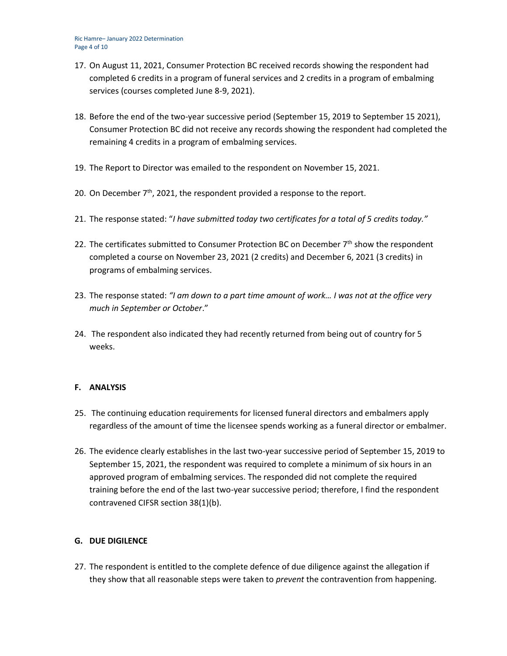- 17. On August 11, 2021, Consumer Protection BC received records showing the respondent had completed 6 credits in a program of funeral services and 2 credits in a program of embalming services (courses completed June 8-9, 2021).
- 18. Before the end of the two-year successive period (September 15, 2019 to September 15 2021), Consumer Protection BC did not receive any records showing the respondent had completed the remaining 4 credits in a program of embalming services.
- 19. The Report to Director was emailed to the respondent on November 15, 2021.
- 20. On December  $7<sup>th</sup>$ , 2021, the respondent provided a response to the report.
- 21. The response stated: "*I have submitted today two certificates for a total of 5 credits today."*
- 22. The certificates submitted to Consumer Protection BC on December  $7<sup>th</sup>$  show the respondent completed a course on November 23, 2021 (2 credits) and December 6, 2021 (3 credits) in programs of embalming services.
- 23. The response stated: *"I am down to a part time amount of work… I was not at the office very much in September or October*."
- 24. The respondent also indicated they had recently returned from being out of country for 5 weeks.

# **F. ANALYSIS**

- 25. The continuing education requirements for licensed funeral directors and embalmers apply regardless of the amount of time the licensee spends working as a funeral director or embalmer.
- 26. The evidence clearly establishes in the last two-year successive period of September 15, 2019 to September 15, 2021, the respondent was required to complete a minimum of six hours in an approved program of embalming services. The responded did not complete the required training before the end of the last two-year successive period; therefore, I find the respondent contravened CIFSR section 38(1)(b).

#### **G. DUE DIGILENCE**

27. The respondent is entitled to the complete defence of due diligence against the allegation if they show that all reasonable steps were taken to *prevent* the contravention from happening.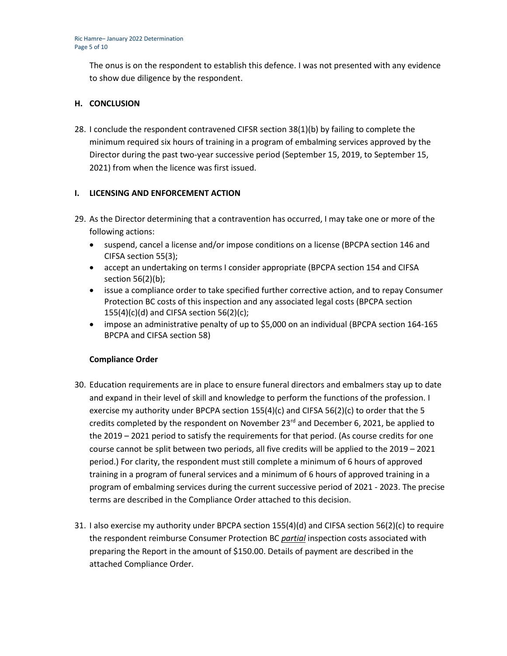The onus is on the respondent to establish this defence. I was not presented with any evidence to show due diligence by the respondent.

# **H. CONCLUSION**

28. I conclude the respondent contravened CIFSR section 38(1)(b) by failing to complete the minimum required six hours of training in a program of embalming services approved by the Director during the past two-year successive period (September 15, 2019, to September 15, 2021) from when the licence was first issued.

## **I. LICENSING AND ENFORCEMENT ACTION**

- 29. As the Director determining that a contravention has occurred, I may take one or more of the following actions:
	- suspend, cancel a license and/or impose conditions on a license (BPCPA section 146 and CIFSA section 55(3);
	- accept an undertaking on terms I consider appropriate (BPCPA section 154 and CIFSA section 56(2)(b);
	- issue a compliance order to take specified further corrective action, and to repay Consumer Protection BC costs of this inspection and any associated legal costs (BPCPA section  $155(4)(c)(d)$  and CIFSA section 56(2)(c);
	- impose an administrative penalty of up to \$5,000 on an individual (BPCPA section 164-165) BPCPA and CIFSA section 58)

#### **Compliance Order**

- 30. Education requirements are in place to ensure funeral directors and embalmers stay up to date and expand in their level of skill and knowledge to perform the functions of the profession. I exercise my authority under BPCPA section 155(4)(c) and CIFSA 56(2)(c) to order that the 5 credits completed by the respondent on November  $23<sup>rd</sup>$  and December 6, 2021, be applied to the 2019 – 2021 period to satisfy the requirements for that period. (As course credits for one course cannot be split between two periods, all five credits will be applied to the 2019 – 2021 period.) For clarity, the respondent must still complete a minimum of 6 hours of approved training in a program of funeral services and a minimum of 6 hours of approved training in a program of embalming services during the current successive period of 2021 - 2023. The precise terms are described in the Compliance Order attached to this decision.
- 31. I also exercise my authority under BPCPA section 155(4)(d) and CIFSA section 56(2)(c) to require the respondent reimburse Consumer Protection BC *partial* inspection costs associated with preparing the Report in the amount of \$150.00. Details of payment are described in the attached Compliance Order.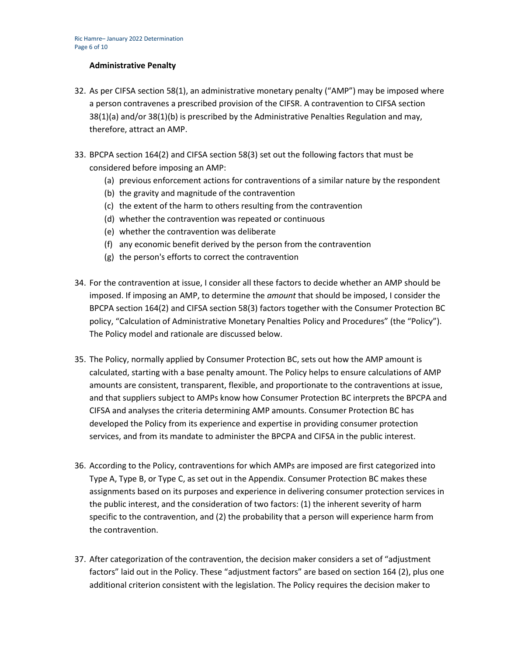#### **Administrative Penalty**

- 32. As per CIFSA section 58(1), an administrative monetary penalty ("AMP") may be imposed where a person contravenes a prescribed provision of the CIFSR. A contravention to CIFSA section 38(1)(a) and/or 38(1)(b) is prescribed by the Administrative Penalties Regulation and may, therefore, attract an AMP.
- 33. BPCPA section 164(2) and CIFSA section 58(3) set out the following factors that must be considered before imposing an AMP:
	- (a) previous enforcement actions for contraventions of a similar nature by the respondent
	- (b) the gravity and magnitude of the contravention
	- (c) the extent of the harm to others resulting from the contravention
	- (d) whether the contravention was repeated or continuous
	- (e) whether the contravention was deliberate
	- (f) any economic benefit derived by the person from the contravention
	- (g) the person's efforts to correct the contravention
- 34. For the contravention at issue, I consider all these factors to decide whether an AMP should be imposed. If imposing an AMP, to determine the *amount* that should be imposed, I consider the BPCPA section 164(2) and CIFSA section 58(3) factors together with the Consumer Protection BC policy, "Calculation of Administrative Monetary Penalties Policy and Procedures" (the "Policy"). The Policy model and rationale are discussed below.
- 35. The Policy, normally applied by Consumer Protection BC, sets out how the AMP amount is calculated, starting with a base penalty amount. The Policy helps to ensure calculations of AMP amounts are consistent, transparent, flexible, and proportionate to the contraventions at issue, and that suppliers subject to AMPs know how Consumer Protection BC interprets the BPCPA and CIFSA and analyses the criteria determining AMP amounts. Consumer Protection BC has developed the Policy from its experience and expertise in providing consumer protection services, and from its mandate to administer the BPCPA and CIFSA in the public interest.
- 36. According to the Policy, contraventions for which AMPs are imposed are first categorized into Type A, Type B, or Type C, as set out in the Appendix. Consumer Protection BC makes these assignments based on its purposes and experience in delivering consumer protection services in the public interest, and the consideration of two factors: (1) the inherent severity of harm specific to the contravention, and (2) the probability that a person will experience harm from the contravention.
- 37. After categorization of the contravention, the decision maker considers a set of "adjustment factors" laid out in the Policy. These "adjustment factors" are based on section 164 (2), plus one additional criterion consistent with the legislation. The Policy requires the decision maker to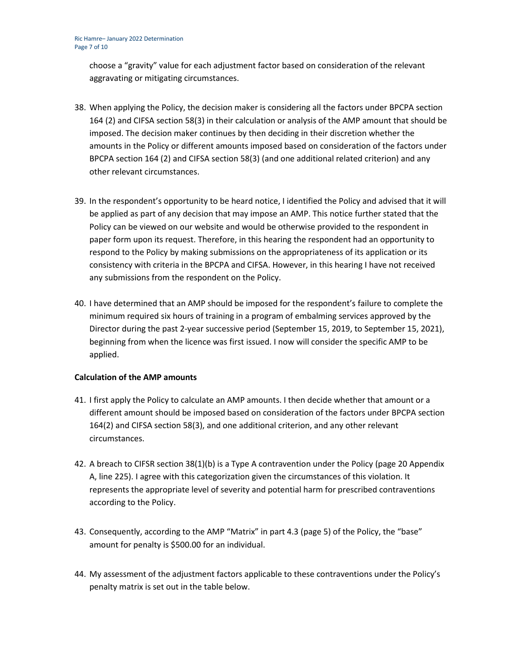choose a "gravity" value for each adjustment factor based on consideration of the relevant aggravating or mitigating circumstances.

- 38. When applying the Policy, the decision maker is considering all the factors under BPCPA section 164 (2) and CIFSA section 58(3) in their calculation or analysis of the AMP amount that should be imposed. The decision maker continues by then deciding in their discretion whether the amounts in the Policy or different amounts imposed based on consideration of the factors under BPCPA section 164 (2) and CIFSA section 58(3) (and one additional related criterion) and any other relevant circumstances.
- 39. In the respondent's opportunity to be heard notice, I identified the Policy and advised that it will be applied as part of any decision that may impose an AMP. This notice further stated that the Policy can be viewed on our website and would be otherwise provided to the respondent in paper form upon its request. Therefore, in this hearing the respondent had an opportunity to respond to the Policy by making submissions on the appropriateness of its application or its consistency with criteria in the BPCPA and CIFSA. However, in this hearing I have not received any submissions from the respondent on the Policy.
- 40. I have determined that an AMP should be imposed for the respondent's failure to complete the minimum required six hours of training in a program of embalming services approved by the Director during the past 2-year successive period (September 15, 2019, to September 15, 2021), beginning from when the licence was first issued. I now will consider the specific AMP to be applied.

#### **Calculation of the AMP amounts**

- 41. I first apply the Policy to calculate an AMP amounts. I then decide whether that amount or a different amount should be imposed based on consideration of the factors under BPCPA section 164(2) and CIFSA section 58(3), and one additional criterion, and any other relevant circumstances.
- 42. A breach to CIFSR section 38(1)(b) is a Type A contravention under the Policy (page 20 Appendix A, line 225). I agree with this categorization given the circumstances of this violation. It represents the appropriate level of severity and potential harm for prescribed contraventions according to the Policy.
- 43. Consequently, according to the AMP "Matrix" in part 4.3 (page 5) of the Policy, the "base" amount for penalty is \$500.00 for an individual.
- 44. My assessment of the adjustment factors applicable to these contraventions under the Policy's penalty matrix is set out in the table below.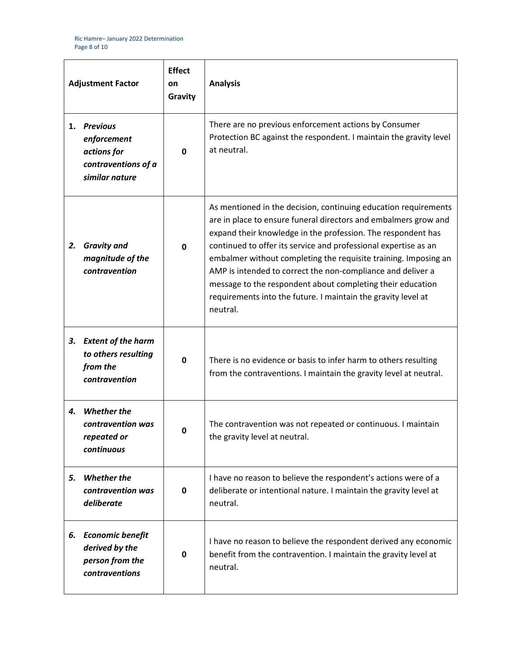| <b>Adjustment Factor</b> |                                                                                        | <b>Effect</b><br>on<br>Gravity | <b>Analysis</b>                                                                                                                                                                                                                                                                                                                                                                                                                                                                                                                                    |
|--------------------------|----------------------------------------------------------------------------------------|--------------------------------|----------------------------------------------------------------------------------------------------------------------------------------------------------------------------------------------------------------------------------------------------------------------------------------------------------------------------------------------------------------------------------------------------------------------------------------------------------------------------------------------------------------------------------------------------|
| 1.                       | <b>Previous</b><br>enforcement<br>actions for<br>contraventions of a<br>similar nature | 0                              | There are no previous enforcement actions by Consumer<br>Protection BC against the respondent. I maintain the gravity level<br>at neutral.                                                                                                                                                                                                                                                                                                                                                                                                         |
| 2.                       | <b>Gravity and</b><br>magnitude of the<br>contravention                                | $\mathbf{0}$                   | As mentioned in the decision, continuing education requirements<br>are in place to ensure funeral directors and embalmers grow and<br>expand their knowledge in the profession. The respondent has<br>continued to offer its service and professional expertise as an<br>embalmer without completing the requisite training. Imposing an<br>AMP is intended to correct the non-compliance and deliver a<br>message to the respondent about completing their education<br>requirements into the future. I maintain the gravity level at<br>neutral. |
| З.                       | <b>Extent of the harm</b><br>to others resulting<br>from the<br>contravention          | 0                              | There is no evidence or basis to infer harm to others resulting<br>from the contraventions. I maintain the gravity level at neutral.                                                                                                                                                                                                                                                                                                                                                                                                               |
| 4.                       | <b>Whether the</b><br>contravention was<br>repeated or<br>continuous                   |                                | The contravention was not repeated or continuous. I maintain<br>the gravity level at neutral.                                                                                                                                                                                                                                                                                                                                                                                                                                                      |
| 5.                       | <b>Whether the</b><br>contravention was<br>deliberate                                  | 0                              | I have no reason to believe the respondent's actions were of a<br>deliberate or intentional nature. I maintain the gravity level at<br>neutral.                                                                                                                                                                                                                                                                                                                                                                                                    |
| 6.                       | <b>Economic benefit</b><br>derived by the<br>person from the<br>contraventions         | 0                              | I have no reason to believe the respondent derived any economic<br>benefit from the contravention. I maintain the gravity level at<br>neutral.                                                                                                                                                                                                                                                                                                                                                                                                     |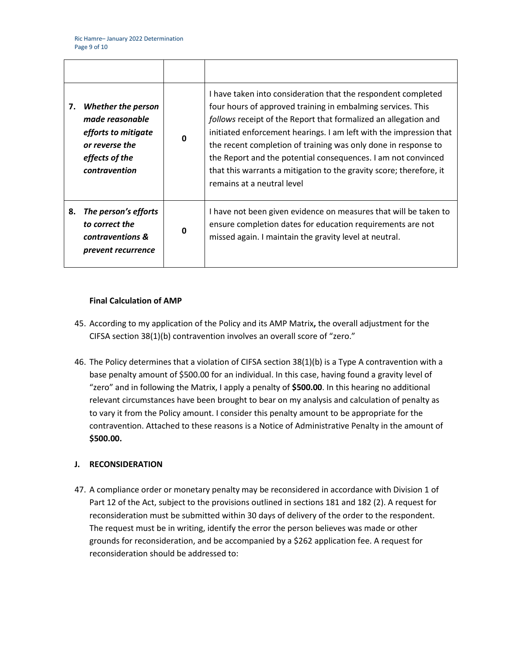| 7. | <b>Whether the person</b><br>made reasonable<br>efforts to mitigate<br>or reverse the<br>effects of the<br>contravention | $\Omega$    | I have taken into consideration that the respondent completed<br>four hours of approved training in embalming services. This<br>follows receipt of the Report that formalized an allegation and<br>initiated enforcement hearings. I am left with the impression that<br>the recent completion of training was only done in response to<br>the Report and the potential consequences. I am not convinced<br>that this warrants a mitigation to the gravity score; therefore, it<br>remains at a neutral level |
|----|--------------------------------------------------------------------------------------------------------------------------|-------------|---------------------------------------------------------------------------------------------------------------------------------------------------------------------------------------------------------------------------------------------------------------------------------------------------------------------------------------------------------------------------------------------------------------------------------------------------------------------------------------------------------------|
| 8. | The person's efforts<br>to correct the<br>contraventions &<br>prevent recurrence                                         | $\mathbf 0$ | I have not been given evidence on measures that will be taken to<br>ensure completion dates for education requirements are not<br>missed again. I maintain the gravity level at neutral.                                                                                                                                                                                                                                                                                                                      |

## **Final Calculation of AMP**

- 45. According to my application of the Policy and its AMP Matrix**,** the overall adjustment for the CIFSA section 38(1)(b) contravention involves an overall score of "zero."
- 46. The Policy determines that a violation of CIFSA section 38(1)(b) is a Type A contravention with a base penalty amount of \$500.00 for an individual. In this case, having found a gravity level of "zero" and in following the Matrix, I apply a penalty of **\$500.00**. In this hearing no additional relevant circumstances have been brought to bear on my analysis and calculation of penalty as to vary it from the Policy amount. I consider this penalty amount to be appropriate for the contravention. Attached to these reasons is a Notice of Administrative Penalty in the amount of **\$500.00.**

## **J. RECONSIDERATION**

47. A compliance order or monetary penalty may be reconsidered in accordance with Division 1 of Part 12 of the Act, subject to the provisions outlined in sections 181 and 182 (2). A request for reconsideration must be submitted within 30 days of delivery of the order to the respondent. The request must be in writing, identify the error the person believes was made or other grounds for reconsideration, and be accompanied by a \$262 application fee. A request for reconsideration should be addressed to: